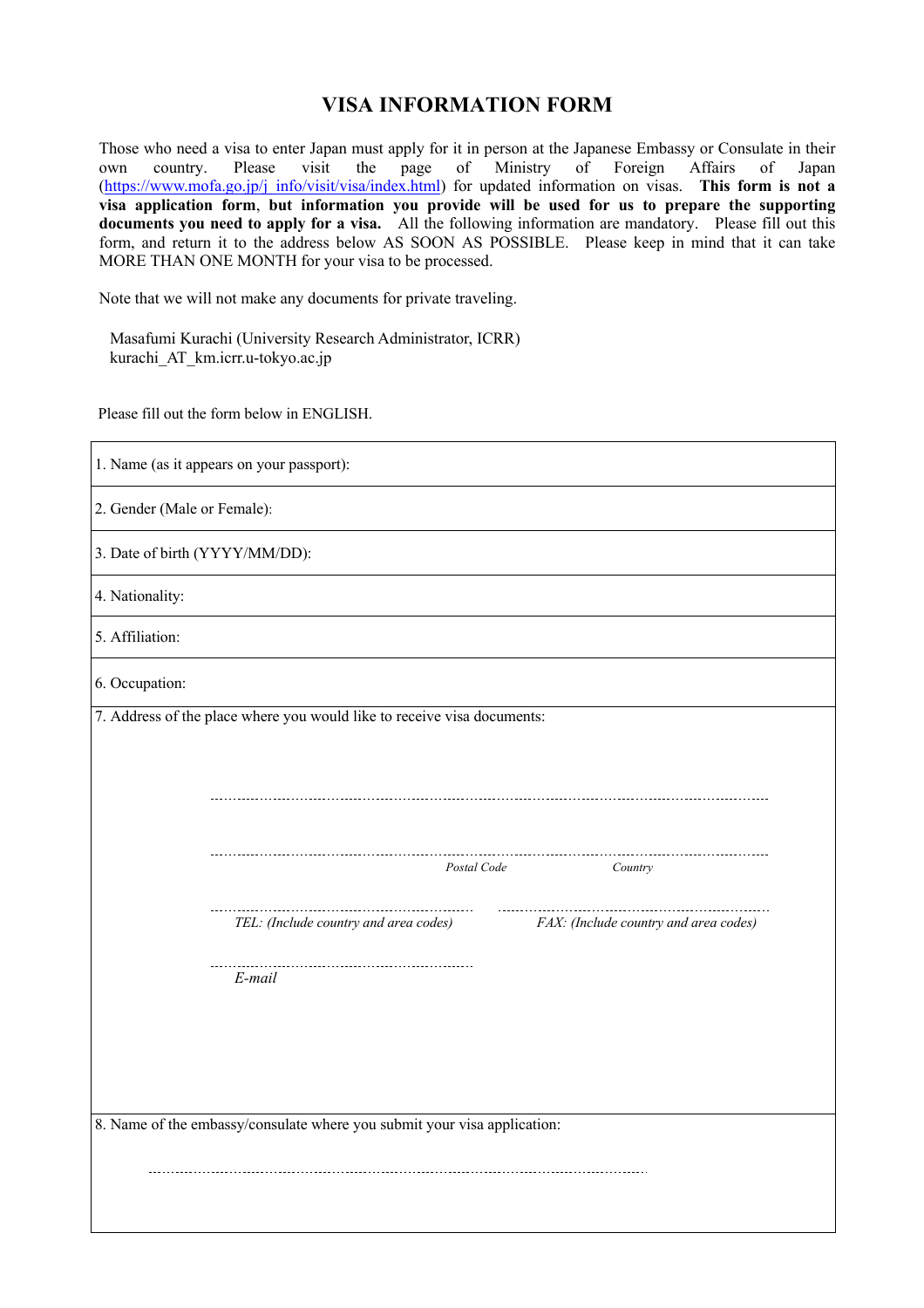## **VISA INFORMATION FORM**

Those who need a visa to enter Japan must apply for it in person at the Japanese Embassy or Consulate in their<br>own country. Please visit the page of Ministry of Foreign Affairs of Japan own country. Please visit the page of Ministry of Foreign Affairs of Japan (https://www.mofa.go.jp/j\_info/visit/visa/index.html) for updated information on visas. **This form is not a visa application form**, **but information you provide will be used for us to prepare the supporting documents you need to apply for a visa.** All the following information are mandatory. Please fill out this form, and return it to the address below AS SOON AS POSSIBLE. Please keep in mind that it can take MORE THAN ONE MONTH for your visa to be processed.

Note that we will not make any documents for private traveling.

Masafumi Kurachi (University Research Administrator, ICRR) kurachi\_AT\_km.icrr.u-tokyo.ac.jp

Please fill out the form below in ENGLISH.

| 1. Name (as it appears on your passport):                                                                                                                                                                                                                                 |  |  |  |
|---------------------------------------------------------------------------------------------------------------------------------------------------------------------------------------------------------------------------------------------------------------------------|--|--|--|
| 2. Gender (Male or Female):                                                                                                                                                                                                                                               |  |  |  |
| 3. Date of birth (YYYY/MM/DD):                                                                                                                                                                                                                                            |  |  |  |
| 4. Nationality:                                                                                                                                                                                                                                                           |  |  |  |
| 5. Affiliation:                                                                                                                                                                                                                                                           |  |  |  |
| 6. Occupation:                                                                                                                                                                                                                                                            |  |  |  |
| 7. Address of the place where you would like to receive visa documents:<br>Postal Code<br>Country<br>TEL: (Include country and area codes)<br>FAX: (Include country and area codes)<br>E-mail<br>8. Name of the embassy/consulate where you submit your visa application: |  |  |  |
|                                                                                                                                                                                                                                                                           |  |  |  |